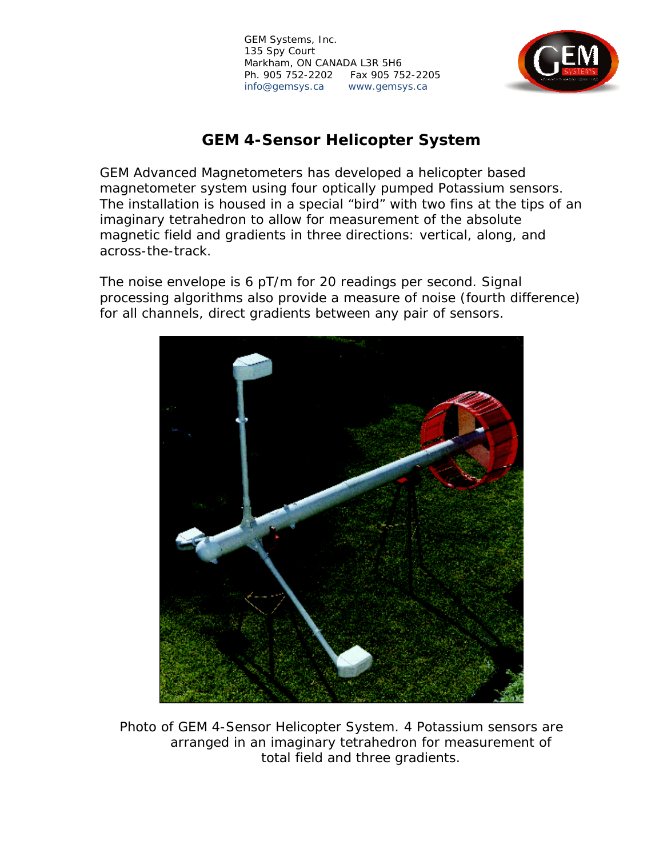

# **GEM 4-Sensor Helicopter System**

GEM Advanced Magnetometers has developed a helicopter based magnetometer system using four optically pumped Potassium sensors. The installation is housed in a special "bird" with two fins at the tips of an imaginary tetrahedron to allow for measurement of the absolute magnetic field and gradients in three directions: vertical, along, and across-the-track.

The noise envelope is 6 pT/m for 20 readings per second. Signal processing algorithms also provide a measure of noise (fourth difference) for all channels, direct gradients between any pair of sensors.



*Photo of GEM 4-Sensor Helicopter System. 4 Potassium sensors are arranged in an imaginary tetrahedron for measurement of total field and three gradients.*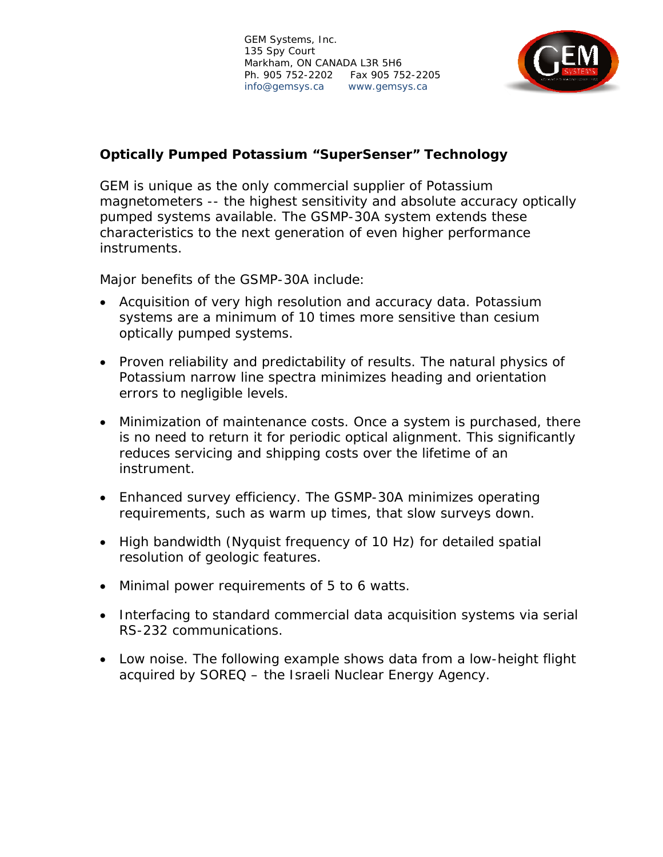

# **Optically Pumped Potassium "SuperSenser" Technology**

GEM is unique as the only commercial supplier of Potassium magnetometers -- the highest sensitivity and absolute accuracy optically pumped systems available. The GSMP-30A system extends these characteristics to the next generation of even higher performance instruments.

Major benefits of the GSMP-30A include:

- Acquisition of very high resolution and accuracy data. Potassium systems are a minimum of 10 times more sensitive than cesium optically pumped systems.
- Proven reliability and predictability of results. The natural physics of Potassium narrow line spectra minimizes heading and orientation errors to negligible levels.
- Minimization of maintenance costs. Once a system is purchased, there is no need to return it for periodic optical alignment. This significantly reduces servicing and shipping costs over the lifetime of an instrument.
- Enhanced survey efficiency. The GSMP-30A minimizes operating requirements, such as warm up times, that slow surveys down.
- High bandwidth (Nyquist frequency of 10 Hz) for detailed spatial resolution of geologic features.
- Minimal power requirements of 5 to 6 watts.
- Interfacing to standard commercial data acquisition systems via serial RS-232 communications.
- Low noise. The following example shows data from a low-height flight acquired by SOREQ – the Israeli Nuclear Energy Agency.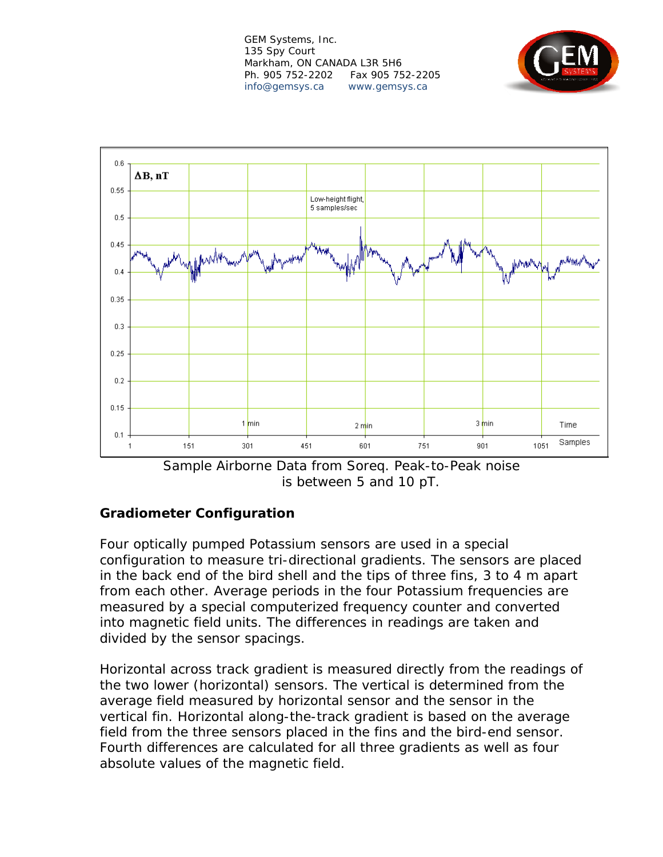



*Sample Airborne Data from Soreq. Peak-to-Peak noise is between 5 and 10 pT.* 

#### **Gradiometer Configuration**

Four optically pumped Potassium sensors are used in a special configuration to measure tri-directional gradients. The sensors are placed in the back end of the bird shell and the tips of three fins, 3 to 4 m apart from each other. Average periods in the four Potassium frequencies are measured by a special computerized frequency counter and converted into magnetic field units. The differences in readings are taken and divided by the sensor spacings.

Horizontal across track gradient is measured directly from the readings of the two lower (horizontal) sensors. The vertical is determined from the average field measured by horizontal sensor and the sensor in the vertical fin. Horizontal along-the-track gradient is based on the average field from the three sensors placed in the fins and the bird-end sensor. Fourth differences are calculated for all three gradients as well as four absolute values of the magnetic field.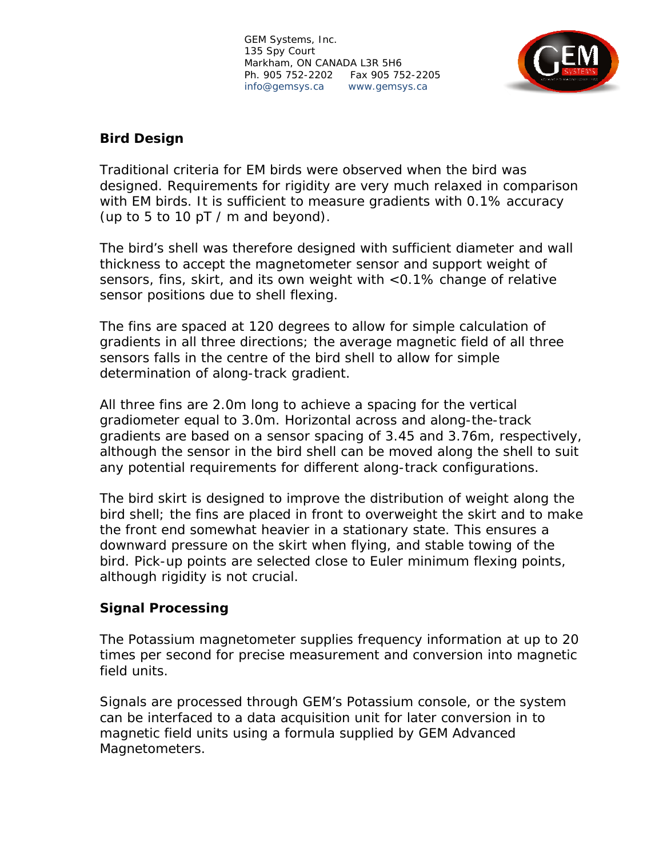

## **Bird Design**

Traditional criteria for EM birds were observed when the bird was designed. Requirements for rigidity are very much relaxed in comparison with EM birds. It is sufficient to measure gradients with 0.1% accuracy (up to 5 to 10 pT / m and beyond).

The bird's shell was therefore designed with sufficient diameter and wall thickness to accept the magnetometer sensor and support weight of sensors, fins, skirt, and its own weight with <0.1% change of relative sensor positions due to shell flexing.

The fins are spaced at 120 degrees to allow for simple calculation of gradients in all three directions; the average magnetic field of all three sensors falls in the centre of the bird shell to allow for simple determination of along-track gradient.

All three fins are 2.0m long to achieve a spacing for the vertical gradiometer equal to 3.0m. Horizontal across and along-the-track gradients are based on a sensor spacing of 3.45 and 3.76m, respectively, although the sensor in the bird shell can be moved along the shell to suit any potential requirements for different along-track configurations.

The bird skirt is designed to improve the distribution of weight along the bird shell; the fins are placed in front to overweight the skirt and to make the front end somewhat heavier in a stationary state. This ensures a downward pressure on the skirt when flying, and stable towing of the bird. Pick-up points are selected close to Euler minimum flexing points, although rigidity is not crucial.

#### **Signal Processing**

The Potassium magnetometer supplies frequency information at up to 20 times per second for precise measurement and conversion into magnetic field units.

Signals are processed through GEM's Potassium console, or the system can be interfaced to a data acquisition unit for later conversion in to magnetic field units using a formula supplied by GEM Advanced Magnetometers.